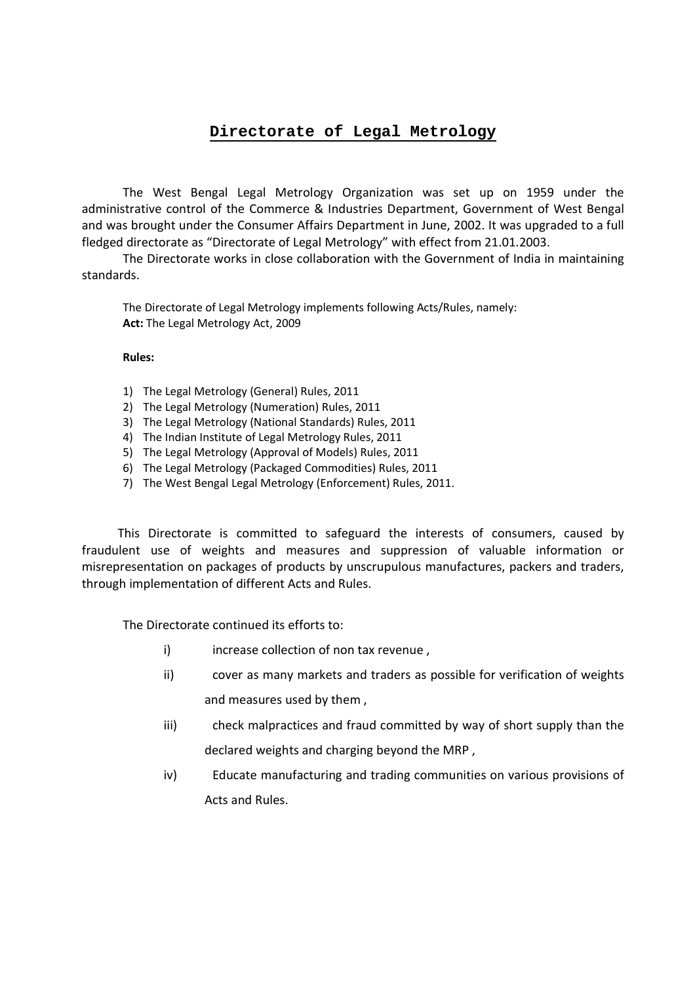## **Directorate of Legal Metrology**

 The West Bengal Legal Metrology Organization was set up on 1959 under the administrative control of the Commerce & Industries Department, Government of West Bengal and was brought under the Consumer Affairs Department in June, 2002. It was upgraded to a full fledged directorate as "Directorate of Legal Metrology" with effect from 21.01.2003.

 The Directorate works in close collaboration with the Government of India in maintaining standards.

The Directorate of Legal Metrology implements following Acts/Rules, namely: **Act:** The Legal Metrology Act, 2009

**Rules:** 

- 1) The Legal Metrology (General) Rules, 2011
- 2) The Legal Metrology (Numeration) Rules, 2011
- 3) The Legal Metrology (National Standards) Rules, 2011
- 4) The Indian Institute of Legal Metrology Rules, 2011
- 5) The Legal Metrology (Approval of Models) Rules, 2011
- 6) The Legal Metrology (Packaged Commodities) Rules, 2011
- 7) The West Bengal Legal Metrology (Enforcement) Rules, 2011.

 This Directorate is committed to safeguard the interests of consumers, caused by fraudulent use of weights and measures and suppression of valuable information or misrepresentation on packages of products by unscrupulous manufactures, packers and traders, through implementation of different Acts and Rules.

The Directorate continued its efforts to:

- i) increase collection of non tax revenue,
- ii) cover as many markets and traders as possible for verification of weights and measures used by them ,
- iii) check malpractices and fraud committed by way of short supply than the declared weights and charging beyond the MRP ,
- iv) Educate manufacturing and trading communities on various provisions of Acts and Rules.